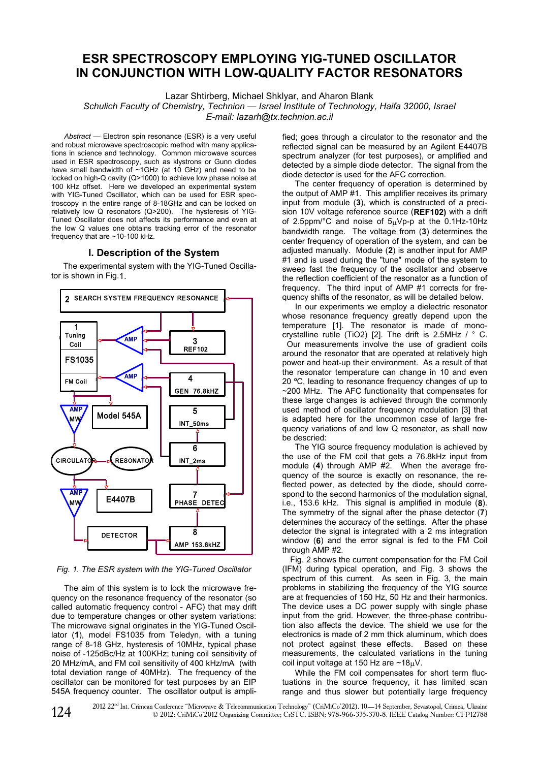# **ESR SPECTROSCOPY EMPLOYING YIG-TUNED OSCILLATOR** IN CONJUNCTION WITH LOW-QUALITY FACTOR RESONATORS

Lazar Shtirberg, Michael Shklyar, and Aharon Blank

Schulich Faculty of Chemistry, Technion - Israel Institute of Technology, Haifa 32000, Israel E-mail: lazarh@tx.technion.ac.il

Abstract - Electron spin resonance (ESR) is a very useful and robust microwave spectroscopic method with many applications in science and technology. Common microwave sources used in ESR spectroscopy, such as klystrons or Gunn diodes have small bandwidth of ~1GHz (at 10 GHz) and need to be locked on high-Q cavity (Q>1000) to achieve low phase noise at 100 kHz offset. Here we developed an experimental system with YIG-Tuned Oscillator, which can be used for ESR spectroscopy in the entire range of 8-18GHz and can be locked on relatively low Q resonators (Q>200). The hysteresis of YIG-Tuned Oscillator does not affects its performance and even at the low Q values one obtains tracking error of the resonator frequency that are  $\sim$  10-100 kHz.

## I. Description of the System

The experimental system with the YIG-Tuned Oscillator is shown in Fig.1.



Fig. 1. The ESR system with the YIG-Tuned Oscillator

The aim of this system is to lock the microwave frequency on the resonance frequency of the resonator (so called automatic frequency control - AFC) that may drift due to temperature changes or other system variations: The microwave signal originates in the YIG-Tuned Oscillator (1), model FS1035 from Teledyn, with a tuning range of 8-18 GHz, hysteresis of 10MHz, typical phase noise of -125dBc/Hz at 100KHz; tuning coil sensitivity of 20 MHz/mA, and FM coil sensitivity of 400 kHz/mA (with total deviation range of 40MHz). The frequency of the oscillator can be monitored for test purposes by an EIP 545A frequency counter. The oscillator output is amplified: goes through a circulator to the resonator and the reflected signal can be measured by an Agilent E4407B spectrum analyzer (for test purposes), or amplified and detected by a simple diode detector. The signal from the diode detector is used for the AFC correction.

The center frequency of operation is determined by the output of AMP #1. This amplifier receives its primary input from module (3), which is constructed of a precision 10V voltage reference source (REF102) with a drift of 2.5ppm/°C and noise of  $5\mu$ Vp-p at the 0.1Hz-10Hz bandwidth range. The voltage from (3) determines the center frequency of operation of the system, and can be adjusted manually. Module (2) is another input for AMP #1 and is used during the "tune" mode of the system to sweep fast the frequency of the oscillator and observe the reflection coefficient of the resonator as a function of frequency. The third input of AMP #1 corrects for frequency shifts of the resonator, as will be detailed below.

In our experiments we employ a dielectric resonator whose resonance frequency greatly depend upon the temperature [1]. The resonator is made of monocrystalline rutile (TiO2) [2]. The drift is 2.5MHz / ° C. Our measurements involve the use of gradient coils around the resonator that are operated at relatively high power and heat-up their environment. As a result of that the resonator temperature can change in 10 and even 20 °C, leading to resonance frequency changes of up to  $\sim$  200 MHz. The AFC functionality that compensates for these large changes is achieved through the commonly used method of oscillator frequency modulation [3] that is adapted here for the uncommon case of large frequency variations of and low Q resonator, as shall now be descried:

The YIG source frequency modulation is achieved by the use of the FM coil that gets a 76.8kHz input from module (4) through AMP  $#2$ . When the average frequency of the source is exactly on resonance, the reflected power, as detected by the diode, should correspond to the second harmonics of the modulation signal. i.e., 153.6 kHz. This signal is amplified in module (8). The symmetry of the signal after the phase detector (7) determines the accuracy of the settings. After the phase detector the signal is integrated with a 2 ms integration window (6) and the error signal is fed to the FM Coil through AMP #2.

Fig. 2 shows the current compensation for the FM Coil (IFM) during typical operation, and Fig. 3 shows the spectrum of this current. As seen in Fig. 3, the main problems in stabilizing the frequency of the YIG source are at frequencies of 150 Hz, 50 Hz and their harmonics. The device uses a DC power supply with single phase input from the grid. However, the three-phase contribution also affects the device. The shield we use for the electronics is made of 2 mm thick aluminum, which does not protect against these effects. Based on these measurements, the calculated variations in the tuning coil input voltage at 150 Hz are  $\sim$ 18 $\mu$ V.

While the FM coil compensates for short term fluctuations in the source frequency, it has limited scan range and thus slower but potentially large frequency